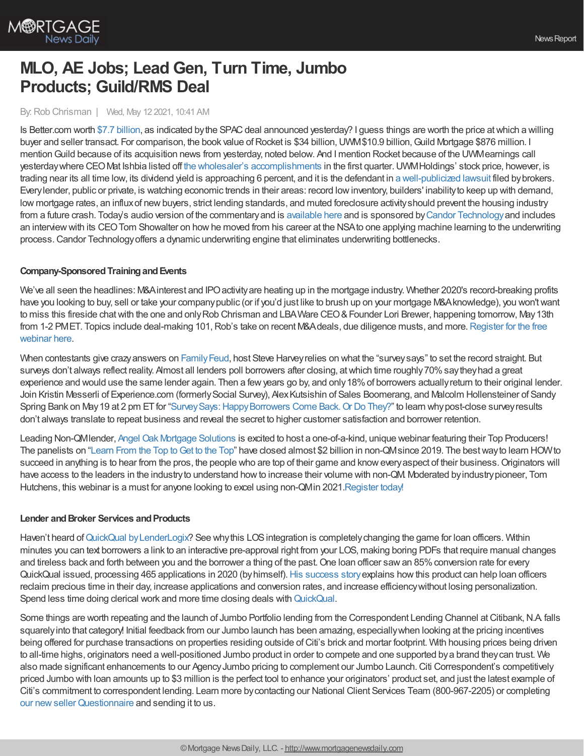

# **MLO, AE Jobs; Lead Gen, Turn Time, Jumbo Products; Guild/RMS Deal**

By:Rob Chrisman | Wed, May 12 2021, 10:41 AM

Is Better.com worth \$7.7 [billion](https://techcrunch.com/2021/05/11/digging-into-digital-mortgage-lender-better-coms-huge-spac/), as indicated by the SPAC deal announced yesterday? I guess things are worth the price at which a willing buyer and seller transact. For comparison, the book value of Rocket is \$34 billion, UWM\$10.9 billion, Guild Mortgage \$876 million. I mentionGuild because of its acquisition news from yesterday, noted below. And I mention Rocket because of the UWMearnings call yesterdaywhere CEOMat Ishbia listed off the wholesaler's [accomplishments](https://www.freep.com/story/money/business/2021/05/11/united-wholesale-mortgage-rocket-companies/5021895001/) in the first quarter.UWMHoldings' stock price, however, is trading near its all time low, its dividend yield is approaching 6 percent, and it is the defendant in a [well-publicized](https://www.jdsupra.com/legalnews/mortgage-brokers-file-class-action-3667485/) lawsuit filed bybrokers. Everylender, public or private, is watching economic trends in their areas: record lowinventory, builders' inabilityto keep up with demand, low mortgage rates, an influx of new buyers, strict lending standards, and muted foreclosure activity should prevent the housing industry from a future crash. Today's audio version of the commentary and is [available](https://linktr.ee/dailymortgagenews) here and is sponsored by Candor [Technology](https://candortechnology.com/rchrisman-podcast) and includes an interviewwith its CEOTom Showalter on howhe moved from his career at the NSAto one applying machine learning to the underwriting process.Candor Technologyoffers a dynamic underwriting engine that eliminates underwriting bottlenecks.

### **Company-Sponsored Training and Events**

We've all seen the headlines: M&A interest and IPO activity are heating up in the mortgage industry. Whether 2020's record-breaking profits have you looking to buy, sell or take your companypublic (or if you'd just like to brush up on your mortgage M&Aknowledge), you won'twant to miss this fireside chat with the one and only Rob Chrisman and LBA Ware CEO & Founder Lori Brewer, happening tomorrow, May 13th from 1-2 PMET. Topics include deal-making 101, Rob's take on recent M&Adeals, due diligence musts, and more. Register for the free webinar here.

When contestants give crazy answers on Family Feud, host Steve Harvey relies on what the "survey says" to set the record straight. But surveys don't always reflect reality. Almost all lenders poll borrowers after closing, at which time roughly 70% say they had a great experience and would use the same lender again. Then a fewyears go by, and only18%of borrowers actuallyreturn to their original lender. Join Kristin Messerli of Experience.com (formerlySocial Survey), AlexKutsishin of Sales Boomerang, and Malcolm Hollensteiner of Sandy Spring Bank on May 19 at 2 pm ET for "Survey Says: Happy Borrowers Come Back. Or Do They?" to learn why post-close survey results don't always translate to repeat business and reveal the secret to higher customer satisfaction and borrower retention.

Leading Non-QMlender, Angel Oak Mortgage [Solutions](http://www.angeloakms.com/) is excited to host a one-of-a-kind, unique webinar featuring their Top Producers! The panelists on ["Learn](https://angeloakms.com/learn-from-the-top-to-get-to-the-top/) From the Top to Get to the Top" have closed almost \$2 billion in non-QMsince 2019. The best way to learn HOW to succeed in anything is to hear from the pros, the people who are top of their game and know every aspect of their business. Originators will have access to the leaders in the industryto understand howto increase their volume with non-QM. Moderated byindustrypioneer, Tom Hutchens, this webinar is a must for anyone looking to excel using non-QMin 2021[.Register](https://angeloakms.com/learn-from-the-top-to-get-to-the-top/) today!

### **Lender and Broker Services and Products**

Haven't heard of QuickQual by LenderLogix? See why this LOS integration is completely changing the game for loan officers. Within minutes you can text borrowers a link to an interactive pre-approval right from your LOS, making boring PDFs that require manual changes and tireless back and forth between you and the borrower a thing of the past. One loan officer saw an 85% conversion rate for every QuickQual issued, processing 465 applications in 2020 (byhimself).His [success](https://hubs.la/H0M-LHM0) storyexplains howthis product can help loan officers reclaim precious time in their day, increase applications and conversion rates, and increase efficiencywithout losing personalization. Spend less time doing clerical work and more time closing deals with [QuickQual](https://hubs.la/H0M-NHc0).

Some things are worth repeating and the launch of Jumbo Portfolio lending from the Correspondent Lending Channel at Citibank, N.A falls squarely into that category! Initial feedback from our Jumbo launch has been amazing, especially when looking at the pricing incentives being offered for purchase transactions on properties residing outside ofCiti's brick and mortar footprint. With housing prices being driven to all-time highs, originators need a well-positioned Jumbo product in order to compete and one supported bya brand theycan trust. We also made significant enhancements to our AgencyJumbo pricing to complement our Jumbo Launch.Citi Correspondent's competitively priced Jumbo with loan amounts up to \$3 million is the perfect tool to enhance your originators' product set, and just the latest example of Citi's commitment to correspondent lending. Learn more bycontacting our National Client Services Team (800-967-2205) or completing our new seller Questionnaire and sending it to us.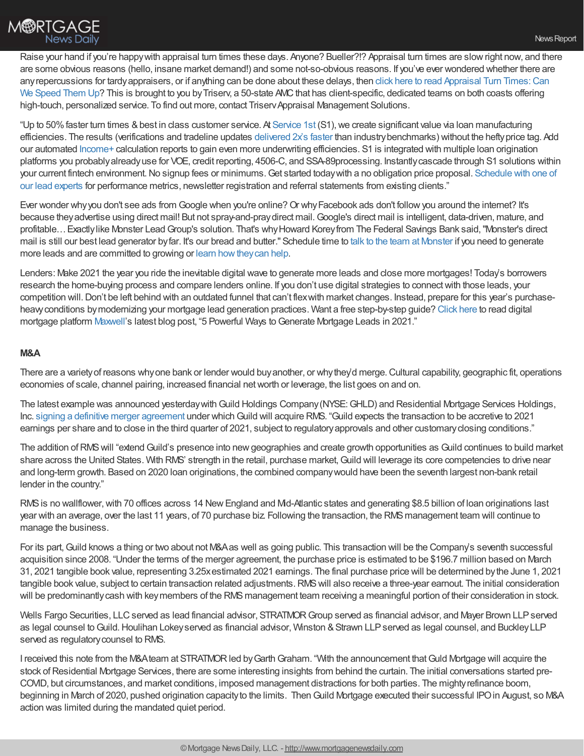Raise your hand if you're happywith appraisal turn times these days. Anyone? Bueller?!? Appraisal turn times are slowright now, and there are some obvious reasons (hello, insane market demand!) and some not-so-obvious reasons. If you've ever wondered whether there are any repercussions for tardy appraisers, or if anything can be done about these delays, then click [here](https://www.triservllc.com/appraisal-turn-times?utm_source=chrisman&utm_medium=newsletter&utm_campaign=0521&utm_content=appraisal-turn-times) to read Appraisal Turn Times: Can We Speed Them Up? This is brought to you by Triserv, a 50-state AMC that has client-specific, dedicated teams on both coasts offering high-touch, personalized service. To find out more, contact Triserv Appraisal Management Solutions.

"Up to 50% faster turn times & best in class customer service. At [Service](https://www.srv1st.com/) 1st (S1), we create significant value via loan manufacturing efficiencies. The results (verifications and tradeline updates [delivered](https://a6ef3559-0851-4f8c-addd-5f4989b6eefb.usrfiles.com/ugd/a6ef35_12a3d12320a041cbae04789df535f0a3.pdf) 2x's faster than industrybenchmarks) without the heftyprice tag. Add our automated [Income+](https://www.srv1st.com/income-plus) calculation reports to gain even more underwriting efficiencies. S1 is integrated with multiple loan origination platforms you probablyalreadyuse for VOE, credit reporting, 4506-C, and SSA-89processing. Instantlycascade through S1 solutions within your current fintech environment. No signup fees or minimums. Get started today with a no obligation price proposal. Schedule with one of our lead experts for performance metrics, newsletter registration and referral statements from existing clients."

Ever wonder why you don't see ads from Google when you're online? Or why Facebook ads don't follow you around the internet? It's because theyadvertise using direct mail! But not spray-and-praydirect mail.Google's direct mail is intelligent, data-driven, mature, and profitable…Exactlylike Monster LeadGroup's solution. That's whyHoward Koreyfrom The Federal Savings Bank said,"Monster's direct mail is still our best lead generator byfar. It's our bread and butter." Schedule time to talk to the team at [Monster](https://www.monsterleadgroup.com/meetings/monster/info?utm_medium=email&utm_source=Chrisman&utm_campaign=Chrisman+Newsletter&utm_content=Chrisman+Ad+2021-05-12) if you need to generate more leads and are committed to growing or learn [howtheycan](https://www.monsterleadgroup.com/mortgage-direct-mail/sales-and-marketing?utm_medium=email&utm_source=Chrisman&utm_campaign=Chrisman+Newsletter&utm_content=Chrisman+Ad+2021-05-12) help.

Lenders: Make 2021 the year you ride the inevitable digital wave to generate more leads and close more mortgages! Today's borrowers research the home-buying process and compare lenders online. If you don't use digital strategies to connectwith those leads, your competition will.Don't be left behind with an outdated funnel that can't flexwith market changes. Instead, prepare for this year's purchaseheavyconditions bymodernizing your mortgage lead generation practices. Want a free step-by-step guide? [Click](https://himaxwell.com/blog/mortgage-lead-generation/?utm_source=RC&utm_medium=RC_Content) here to read digital mortgage platform [Maxwell](https://himaxwell.com/?utm_source=RC&utm_medium=RC_Content)'s latest blog post, "5 Powerful Ways to Generate Mortgage Leads in 2021."

### **M&A**

There are a variety of reasons why one bank or lender would buy another, or why they'd merge. Cultural capability, geographic fit, operations economies of scale, channel pairing, increased financial networth or leverage, the list goes on and on.

The latest example was announced yesterday with Guild Holdings Company (NYSE: GHLD) and Residential Mortgage Services Holdings, Inc. signing a definitive merger [agreement](https://www.businesswire.com/news/home/20210511005376/en/Guild-Holdings-Company-Strategically-Expands-Into-Northeast-With-Acquisition-of-Residential-Mortgage-Services-Holdings) under which Guild will acquire RMS. "Guild expects the transaction to be accretive to 2021 earnings per share and to close in the third quarter of 2021, subject to regulatoryapprovals and other customaryclosing conditions."

The addition of RMS will "extend Guild's presence into new geographies and create growth opportunities as Guild continues to build market share across the United States. With RMS' strength in the retail, purchase market, Guild will leverage its core competencies to drive near and long-term growth. Based on 2020 loan originations, the combined companywould have been the seventh largest non-bank retail lender in the country."

RMS is no wallflower, with 70 offices across 14 New England and Md-Atlantic states and generating \$8.5 billion of loan originations last year with an average, over the last 11 years, of 70 purchase biz. Following the transaction, the RMSmanagement team will continue to manage the business.

For its part, Guild knows a thing or two about not M&A as well as going public. This transaction will be the Company's seventh successful acquisition since 2008. "Under the terms of the merger agreement, the purchase price is estimated to be \$196.7 million based on March 31, 2021 tangible book value, representing 3.25xestimated 2021 earnings. The final purchase price will be determined bythe June 1, 2021 tangible book value, subject to certain transaction related adjustments.RMSwill also receive a three-year earnout. The initial consideration will be predominantly cash with key members of the RMS management team receiving a meaningful portion of their consideration in stock.

Wells Fargo Securities, LLC served as lead financial advisor, STRATMOR Group served as financial advisor, and Mayer Brown LLP served as legal counsel to Guild. Houlihan Lokey served as financial advisor, Winston & Strawn LLP served as legal counsel, and Buckley LLP served as regulatorycounsel to RMS.

I received this note from the M&Ateam at STRATMOR led by Garth Graham. "With the announcement that Guld Mortgage will acquire the stock of Residential Mortgage Services, there are some interesting insights from behind the curtain. The initial conversations started pre-COVID, but circumstances, and market conditions, imposed management distractions for both parties. The mightyrefinance boom, beginning in March of 2020, pushed origination capacityto the limits. ThenGuild Mortgage executed their successful IPOin August, so M&A action was limited during the mandated quiet period.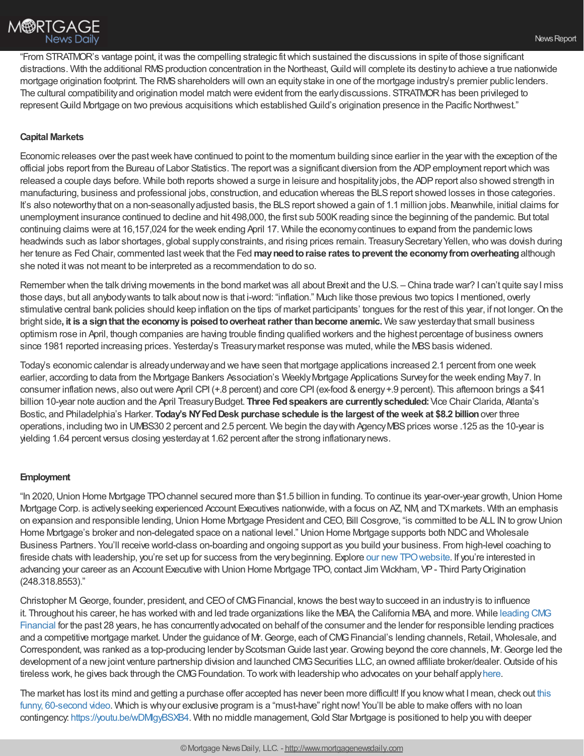"From STRATMOR's vantage point, itwas the compelling strategic fitwhich sustained the discussions in spite of those significant distractions. With the additional RMS production concentration in the Northeast, Guild will complete its destiny to achieve a true nationwide mortgage origination footprint. The RMS shareholders will own an equity stake in one of the mortgage industry's premier public lenders. The cultural compatibility and origination model match were evident from the early discussions. STRATMOR has been privileged to represent Guild Mortgage on two previous acquisitions which established Guild's origination presence in the Pacific Northwest."

## **Capital Markets**

Economic releases over the pastweek have continued to point to the momentum building since earlier in the year with the exception of the official jobs report from the Bureau of Labor Statistics. The reportwas a significant diversion from the ADPemployment reportwhich was released a couple days before. While both reports showed a surge in leisure and hospitalityjobs, the ADPreport also showed strength in manufacturing, business and professional jobs, construction, and education whereas the BLS report showed losses in those categories. It's also noteworthythat on a non-seasonallyadjusted basis, the BLSreport showed a gain of 1.1 million jobs. Meanwhile, initial claims for unemployment insurance continued to decline and hit 498,000, the first sub 500Kreading since the beginning of the pandemic. But total continuing claims were at 16,157,024 for the week ending April 17. While the economycontinues to expand from the pandemic lows headwinds such as labor shortages, global supply constraints, and rising prices remain. Treasury Secretary Yellen, who was dovish during her tenure as Fed Chair, commented lastweek that the Fed **mayneedtoraise rates toprevent the economyfromoverheating**although she noted itwas not meant to be interpreted as a recommendation to do so.

Remember when the talk driving movements in the bond market was all about Brexit and the U.S. – China trade war? I can't quite say I miss those days, but all anybodywants to talk about nowis that i-word: "inflation." Much like those previous two topics I mentioned, overly stimulative central bank policies should keep inflation on the tips of market participants' tongues for the rest of this year, if not longer.On the bright side**, it is a signthat the economyis poisedtooverheatrather thanbecome anemic.** We sawyesterdaythat small business optimism rose in April, though companies are having trouble finding qualified workers and the highest percentage of business owners since 1981 reported increasing prices. Yesterday's Treasury market response was muted, while the MBS basis widened.

Today's economic calendar is alreadyunderwayand we have seen that mortgage applications increased 2.1 percent from one week earlier, according to data from the Mortgage Bankers Association's WeeklyMortgage Applications Surveyfor the week ending May7. In consumer inflation news, also out were April CPI (+.8 percent) and core CPI (ex-food & energy +.9 percent). This afternoon brings a \$41 billion 10-year note auction and the April TreasuryBudget. **Three Fedspeakers are currentlyscheduled:**Vice Chair Clarida, Atlanta's Bostic, and Philadelphia's Harker. **Today's NYFedDesk purchase schedule is the largest of theweek at \$8.2 billion**over three operations, including two in UMBS30 2 percent and 2.5 percent. We begin the day with Agency MBS prices worse .125 as the 10-year is yielding 1.64 percent versus closing yesterdayat 1.62 percent after the strong inflationarynews.

### **Employment**

"In 2020,Union Home Mortgage TPOchannel secured more than \$1.5 billion in funding. To continue its year-over-year growth,Union Home Mortgage Corp. is actively seeking experienced Account Executives nationwide, with a focus on AZ, NM, and TX markets. With an emphasis on expansion and responsible lending,Union Home Mortgage President and CEO, Bill Cosgrove, "is committed to be ALL INto growUnion Home Mortgage's broker and non-delegated space on a national level." Union Home Mortgage supports both NDC and Wholesale Business Partners. You'll receive world-class on-boarding and ongoing support as you build your business. From high-level coaching to fireside chats with leadership, you're set up for success from the very beginning. Explore our new TPO website. If you're interested in advancing your career as an Account Executive with Union Home Mortgage TPO, contact Jim Wickham, VP- Third PartyOrigination (248.318.8553)."

Christopher M.George, founder, president, and CEOofCMGFinancial, knows the bestwayto succeed in an industryis to influence it. Throughout his career, he has worked with and led trade organizations like the MBA, the California MBA, and more. While leading CMG Financial for the past 28 years, he has [concurrentlyadvocated](https://www.cmgfi.com/leadership) on behalf of the consumer and the lender for responsible lending practices and a competitive mortgage market. Under the guidance of Mr. George, each of CMG Financial's lending channels, Retail, Wholesale, and Correspondent, was ranked as a top-producing lender by Scotsman Guide last year. Growing beyond the core channels, Mr. George led the development of a new joint venture partnership division and launched CMG Securities LLC, an owned affiliate broker/dealer. Outside of his tireless work, he gives back through the CMG Foundation. To work with leadership who advocates on your behalf apply [here](https://www.cmgfi.com/careers?utm_medium=blogpost&utm_source=chrisman&utm_campaign=recruiting-lo-chrisman-post&utm_content=leadership).

The market has lost its mind and getting a purchase offer accepted has never been more difficult! If you knowwhat I mean, check out this funny, 60-second video. Which is whyour exclusive program is a ["must-have"](https://youtu.be/3cuZbe6TGpw) right now! You'll be able to make offers with no loan contingency: https://youtu.be/wDMgyBSXB4. With no middle management, Gold Star Mortgage is positioned to help you with deeper